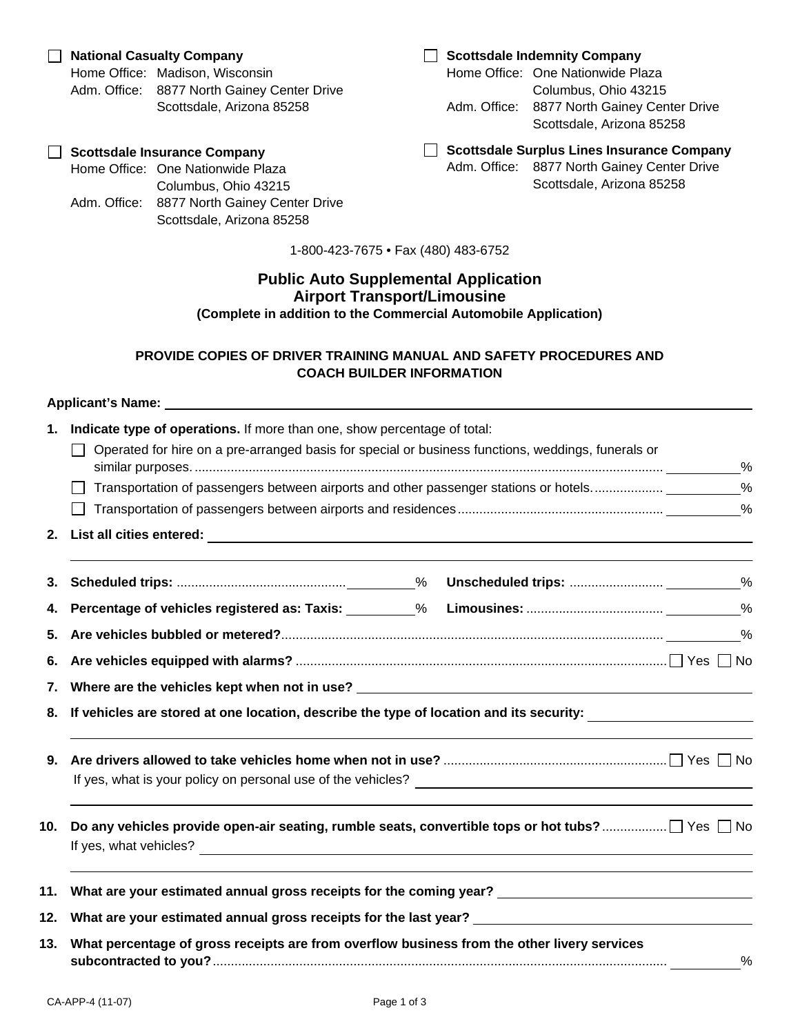## **Public Auto Supplemental Application Airport Transport/Limousine (Complete in addition to the Commercial Automobile Application)**

# **PROVIDE COPIES OF DRIVER TRAINING MANUAL AND SAFETY PROCEDURES AND COACH BUILDER INFORMATION**

|     | Applicant's Name: Name and Applicant and Applicant and Applicant and Applicant and Applicant and Applicant and Applicant and Applicant and Applicant and Applicant and Applicant and Applicant and Applicant and Applicant and |  |  |  |  |
|-----|--------------------------------------------------------------------------------------------------------------------------------------------------------------------------------------------------------------------------------|--|--|--|--|
| 1.  | Indicate type of operations. If more than one, show percentage of total:<br>Operated for hire on a pre-arranged basis for special or business functions, weddings, funerals or<br>$\Box$<br>$\%$                               |  |  |  |  |
|     |                                                                                                                                                                                                                                |  |  |  |  |
| 3.  |                                                                                                                                                                                                                                |  |  |  |  |
|     |                                                                                                                                                                                                                                |  |  |  |  |
|     |                                                                                                                                                                                                                                |  |  |  |  |
| 6.  |                                                                                                                                                                                                                                |  |  |  |  |
|     |                                                                                                                                                                                                                                |  |  |  |  |
|     | 8. If vehicles are stored at one location, describe the type of location and its security: ___________________                                                                                                                 |  |  |  |  |
|     |                                                                                                                                                                                                                                |  |  |  |  |
| 10. | <u> 1989 - Andrea Andrea Andrea Andrea Andrea Andrea Andrea Andrea Andrea Andrea Andrea Andrea Andrea Andrea And</u><br>Do any vehicles provide open-air seating, rumble seats, convertible tops or hot tubs?  Yes □ No        |  |  |  |  |
|     | 11. What are your estimated annual gross receipts for the coming year? ____________________________                                                                                                                            |  |  |  |  |
|     | 12. What are your estimated annual gross receipts for the last year? _______________________________                                                                                                                           |  |  |  |  |
| 13. | What percentage of gross receipts are from overflow business from the other livery services<br>$\%$                                                                                                                            |  |  |  |  |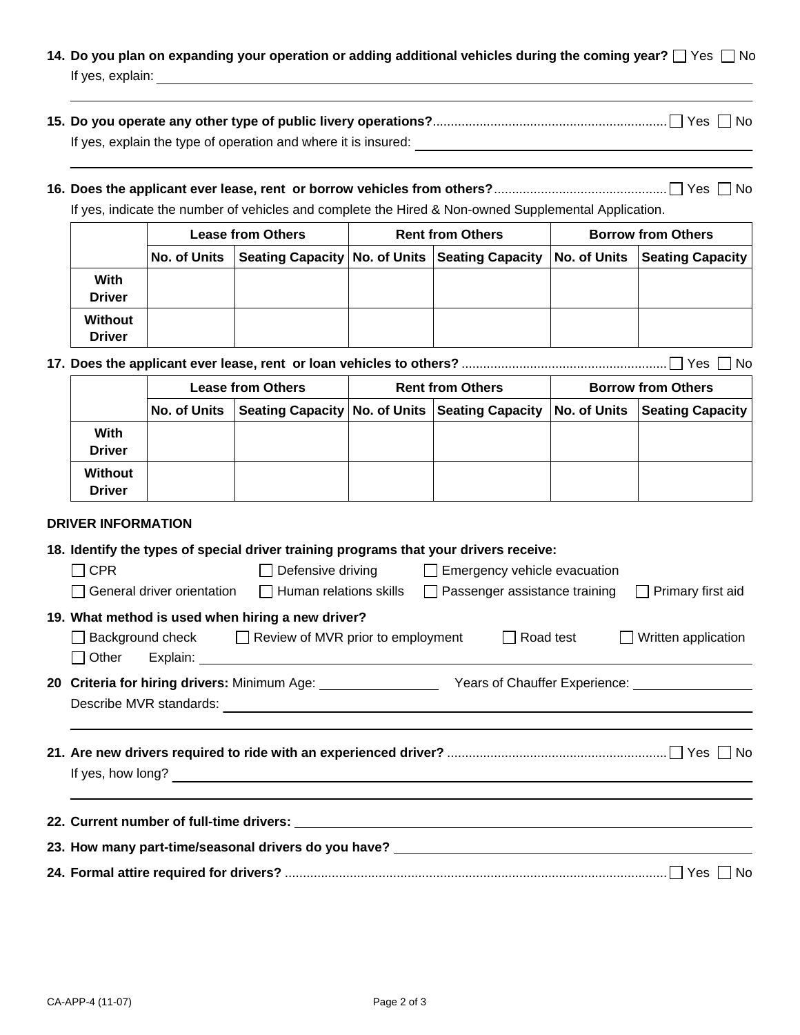| 14. Do you plan on expanding your operation or adding additional vehicles during the coming year? $\Box$ Yes $\Box$ No |  |
|------------------------------------------------------------------------------------------------------------------------|--|
| If yes, explain:                                                                                                       |  |

| If yes, explain the type of operation and where it is insured: |  |
|----------------------------------------------------------------|--|

# **16. Does the applicant ever lease, rent or borrow vehicles from others?** ................................................ Yes No

If yes, indicate the number of vehicles and complete the Hired & Non-owned Supplemental Application.

|                                 | <b>Lease from Others</b> |  | <b>Rent from Others</b> |                                                                              | <b>Borrow from Others</b> |  |
|---------------------------------|--------------------------|--|-------------------------|------------------------------------------------------------------------------|---------------------------|--|
|                                 | No. of Units             |  |                         | Seating Capacity No. of Units Seating Capacity No. of Units Seating Capacity |                           |  |
| With<br><b>Driver</b>           |                          |  |                         |                                                                              |                           |  |
| <b>Without</b><br><b>Driver</b> |                          |  |                         |                                                                              |                           |  |

**17. Does the applicant ever lease, rent or loan vehicles to others?** ......................................................... Yes No

|                          | <b>Lease from Others</b> |  | <b>Rent from Others</b> |                                                                                           | <b>Borrow from Others</b> |  |
|--------------------------|--------------------------|--|-------------------------|-------------------------------------------------------------------------------------------|---------------------------|--|
|                          |                          |  |                         | No. of Units Seating Capacity No. of Units Seating Capacity No. of Units Seating Capacity |                           |  |
| With<br><b>Driver</b>    |                          |  |                         |                                                                                           |                           |  |
| Without<br><b>Driver</b> |                          |  |                         |                                                                                           |                           |  |

### **DRIVER INFORMATION**

|                   | 18. Identify the types of special driver training programs that your drivers receive: |                                                      |                                                                                                                        |                                             |  |  |
|-------------------|---------------------------------------------------------------------------------------|------------------------------------------------------|------------------------------------------------------------------------------------------------------------------------|---------------------------------------------|--|--|
|                   | $\Box$ CPR                                                                            | $\Box$                                               | Defensive driving □ Emergency vehicle evacuation                                                                       |                                             |  |  |
|                   |                                                                                       |                                                      | General driver orientation $\Box$ Human relations skills $\Box$ Passenger assistance training $\Box$ Primary first aid |                                             |  |  |
|                   | 19. What method is used when hiring a new driver?                                     |                                                      |                                                                                                                        |                                             |  |  |
|                   | $\perp$                                                                               | Background check □ Review of MVR prior to employment |                                                                                                                        | $\Box$ Road test $\Box$ Written application |  |  |
|                   |                                                                                       |                                                      |                                                                                                                        |                                             |  |  |
|                   |                                                                                       |                                                      |                                                                                                                        |                                             |  |  |
| If yes, how long? |                                                                                       |                                                      |                                                                                                                        |                                             |  |  |
|                   |                                                                                       |                                                      |                                                                                                                        |                                             |  |  |
|                   |                                                                                       |                                                      | 23. How many part-time/seasonal drivers do you have? ____________________________                                      |                                             |  |  |
|                   |                                                                                       |                                                      |                                                                                                                        | No.                                         |  |  |